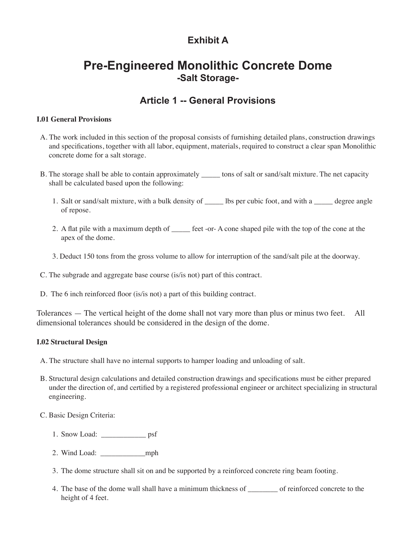## **Exhibit A**

# **Pre-Engineered Monolithic Concrete Dome -Salt Storage-**

## **Article 1 -- General Provisions**

## **I.01 General Provisions**

- A. The work included in this section of the proposal consists of furnishing detailed plans, construction drawings and specifications, together with all labor, equipment, materials, required to construct a clear span Monolithic concrete dome for a salt storage.
- B. The storage shall be able to contain approximately stores of salt or sand/salt mixture. The net capacity shall be calculated based upon the following:
	- 1. Salt or sand/salt mixture, with a bulk density of \_\_\_\_\_ lbs per cubic foot, and with a \_\_\_\_\_ degree angle of repose.
	- 2. A flat pile with a maximum depth of \_\_\_\_\_ feet -or- A cone shaped pile with the top of the cone at the apex of the dome.
	- 3. Deduct 150 tons from the gross volume to allow for interruption of the sand/salt pile at the doorway.
- C. The subgrade and aggregate base course (is/is not) part of this contract.
- D. The 6 inch reinforced floor (is/is not) a part of this building contract.

Tolerances — The vertical height of the dome shall not vary more than plus or minus two feet. All dimensional tolerances should be considered in the design of the dome.

## **I.02 Structural Design**

A. The structure shall have no internal supports to hamper loading and unloading of salt.

B. Structural design calculations and detailed construction drawings and specifications must be either prepared under the direction of, and certified by a registered professional engineer or architect specializing in structural engineering.

## C. Basic Design Criteria:

- 1. Snow Load: psf
- 2. Wind Load: \_\_\_\_\_\_\_\_\_\_\_\_mph
- 3. The dome structure shall sit on and be supported by a reinforced concrete ring beam footing.
- 4. The base of the dome wall shall have a minimum thickness of \_\_\_\_\_\_\_\_ of reinforced concrete to the height of 4 feet.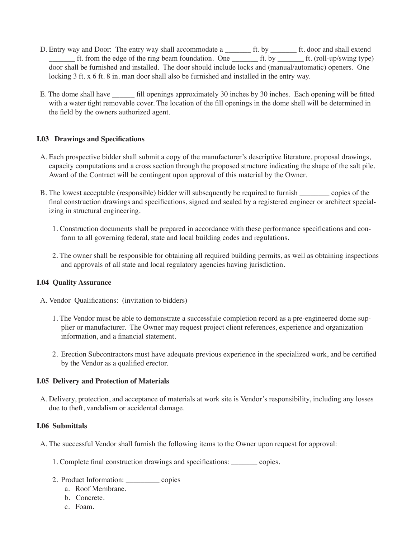- D. Entry way and Door: The entry way shall accommodate a \_\_\_\_\_\_\_\_ ft. by \_\_\_\_\_\_\_ ft. door and shall extend ft. from the edge of the ring beam foundation. One \_\_\_\_\_\_\_\_\_ ft. by \_\_\_\_\_\_\_\_ ft. (roll-up/swing type) door shall be furnished and installed. The door should include locks and (manual/automatic) openers. One locking 3 ft. x 6 ft. 8 in. man door shall also be furnished and installed in the entry way.
- E. The dome shall have \_\_\_\_\_\_ fill openings approximately 30 inches by 30 inches. Each opening will be fitted with a water tight removable cover. The location of the fill openings in the dome shell will be determined in the field by the owners authorized agent.

## **I.03 Drawings and Specifications**

- A. Each prospective bidder shall submit a copy of the manufacturer's descriptive literature, proposal drawings, capacity computations and a cross section through the proposed structure indicating the shape of the salt pile. Award of the Contract will be contingent upon approval of this material by the Owner.
- B. The lowest acceptable (responsible) bidder will subsequently be required to furnish \_\_\_\_\_\_\_\_ copies of the final construction drawings and specifications, signed and sealed by a registered engineer or architect specializing in structural engineering.
	- 1. Construction documents shall be prepared in accordance with these performance specifications and conform to all governing federal, state and local building codes and regulations.
	- 2. The owner shall be responsible for obtaining all required building permits, as well as obtaining inspections and approvals of all state and local regulatory agencies having jurisdiction.

## **I.04 Quality Assurance**

- A. Vendor Qualifications: (invitation to bidders)
	- 1. The Vendor must be able to demonstrate a successfule completion record as a pre-engineered dome supplier or manufacturer. The Owner may request project client references, experience and organization information, and a financial statement.
	- 2. Erection Subcontractors must have adequate previous experience in the specialized work, and be certified by the Vendor as a qualified erector.

#### **I.05 Delivery and Protection of Materials**

A. Delivery, protection, and acceptance of materials at work site is Vendor's responsibility, including any losses due to theft, vandalism or accidental damage.

#### **I.06 Submittals**

- A. The successful Vendor shall furnish the following items to the Owner upon request for approval:
	- 1. Complete final construction drawings and specifications: copies.
	- 2. Product Information: \_\_\_\_\_\_\_\_\_ copies
		- a. Roof Membrane.
		- b. Concrete.
		- c. Foam.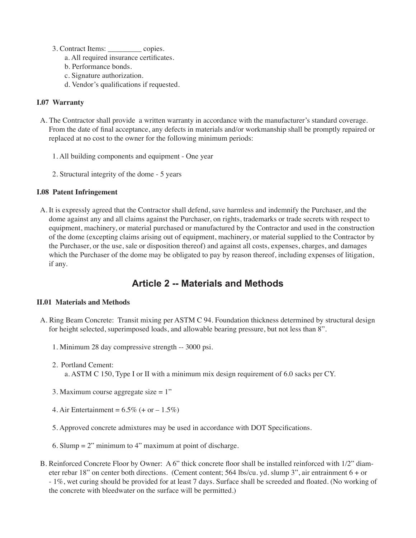- 3. Contract Items: \_\_\_\_\_\_\_\_\_ copies.
	- a. All required insurance certificates.
	- b. Performance bonds.
	- c. Signature authorization.
	- d. Vendor's qualifications if requested.

## **I.07 Warranty**

- A. The Contractor shall provide a written warranty in accordance with the manufacturer's standard coverage. From the date of final acceptance, any defects in materials and/or workmanship shall be promptly repaired or replaced at no cost to the owner for the following minimum periods:
	- 1. All building components and equipment One year
	- 2. Structural integrity of the dome 5 years

## **I.08 Patent Infringement**

A. It is expressly agreed that the Contractor shall defend, save harmless and indemnify the Purchaser, and the dome against any and all claims against the Purchaser, on rights, trademarks or trade secrets with respect to equipment, machinery, or material purchased or manufactured by the Contractor and used in the construction of the dome (excepting claims arising out of equipment, machinery, or material supplied to the Contractor by the Purchaser, or the use, sale or disposition thereof) and against all costs, expenses, charges, and damages which the Purchaser of the dome may be obligated to pay by reason thereof, including expenses of litigation, if any.

## **Article 2 -- Materials and Methods**

## **II.01 Materials and Methods**

- A. Ring Beam Concrete: Transit mixing per ASTM C 94. Foundation thickness determined by structural design for height selected, superimposed loads, and allowable bearing pressure, but not less than 8".
	- 1. Minimum 28 day compressive strength -- 3000 psi.
	- 2. Portland Cement: a. ASTM C 150, Type I or II with a minimum mix design requirement of 6.0 sacks per CY.
	- 3. Maximum course aggregate size  $= 1$ "
	- 4. Air Entertainment =  $6.5\%$  (+ or  $-1.5\%$ )
	- 5. Approved concrete admixtures may be used in accordance with DOT Specifications.
	- 6. Slump  $= 2$ " minimum to 4" maximum at point of discharge.
- B. Reinforced Concrete Floor by Owner: A 6" thick concrete floor shall be installed reinforced with 1/2" diameter rebar 18" on center both directions. (Cement content; 564 lbs/cu. yd. slump 3", air entrainment 6 + or - 1%, wet curing should be provided for at least 7 days. Surface shall be screeded and floated. (No working of the concrete with bleedwater on the surface will be permitted.)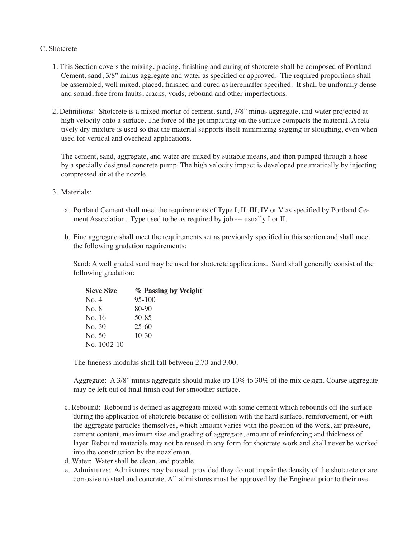#### C. Shotcrete

- 1. This Section covers the mixing, placing, finishing and curing of shotcrete shall be composed of Portland Cement, sand, 3/8" minus aggregate and water as specified or approved. The required proportions shall be assembled, well mixed, placed, finished and cured as hereinafter specified. It shall be uniformly dense and sound, free from faults, cracks, voids, rebound and other imperfections.
- 2. Definitions: Shotcrete is a mixed mortar of cement, sand, 3/8" minus aggregate, and water projected at high velocity onto a surface. The force of the jet impacting on the surface compacts the material. A relatively dry mixture is used so that the material supports itself minimizing sagging or sloughing, even when used for vertical and overhead applications.

The cement, sand, aggregate, and water are mixed by suitable means, and then pumped through a hose by a specially designed concrete pump. The high velocity impact is developed pneumatically by injecting compressed air at the nozzle.

- 3. Materials:
	- a. Portland Cement shall meet the requirements of Type I, II, III, IV or V as specified by Portland Cement Association. Type used to be as required by job --- usually I or II.
	- b. Fine aggregate shall meet the requirements set as previously specified in this section and shall meet the following gradation requirements:

Sand: A well graded sand may be used for shotcrete applications. Sand shall generally consist of the following gradation:

| <b>Sieve Size</b> | % Passing by Weight |
|-------------------|---------------------|
| No. 4             | $95-100$            |
| No. 8             | 80-90               |
| No. 16            | 50-85               |
| No. 30            | $25-60$             |
| No. 50            | $10-30$             |
| No. $1002-10$     |                     |

The fineness modulus shall fall between 2.70 and 3.00.

 Aggregate: A 3/8" minus aggregate should make up 10% to 30% of the mix design. Coarse aggregate may be left out of final finish coat for smoother surface.

- c. Rebound: Rebound is defined as aggregate mixed with some cement which rebounds off the surface during the application of shotcrete because of collision with the hard surface, reinforcement, or with the aggregate particles themselves, which amount varies with the position of the work, air pressure, cement content, maximum size and grading of aggregate, amount of reinforcing and thickness of layer. Rebound materials may not be reused in any form for shotcrete work and shall never be worked into the construction by the nozzleman.
- d. Water: Water shall be clean, and potable.
- e. Admixtures: Admixtures may be used, provided they do not impair the density of the shotcrete or are corrosive to steel and concrete. All admixtures must be approved by the Engineer prior to their use.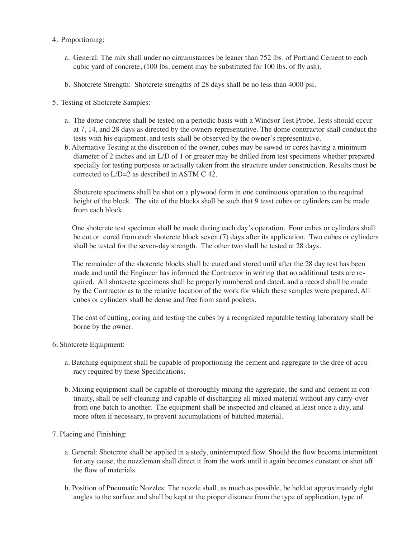- 4. Proportioning:
	- a. General: The mix shall under no circumstances be leaner than 752 lbs. of Portland Cement to each cubic yard of concrete, (100 lbs. cement may be substituted for 100 lbs. of fly ash).
	- b. Shotcrete Strength: Shotcrete strengths of 28 days shall be no less than 4000 psi.
- 5. Testing of Shotcrete Samples:
	- a. The dome concrete shall be tested on a periodic basis with a Windsor Test Probe. Tests should occur at 7, 14, and 28 days as directed by the owners representative. The dome conttractor shall conduct the tests with his equipment, and tests shall be observed by the owner's representative.
	- b. Alternative Testing at the discretion of the owner, cubes may be sawed or cores having a minimum diameter of 2 inches and an L/D of 1 or greater may be drilled from test specimens whether prepared specially for testing purposes or actually taken from the structure under construction. Results must be corrected to L/D=2 as described in ASTM C 42.

 Shotcrete specimens shall be shot on a plywood form in one continuous operation to the required height of the block. The site of the blocks shall be such that 9 tesst cubes or cylinders can be made from each block.

 One shotcrete test specimen shall be made during each day's operation. Four cubes or cylinders shall be cut or cored from each shotcrete block seven (7) days after its application. Two cubes or cylinders shall be tested for the seven-day strength. The other two shall be tested at 28 days.

 The remainder of the shotcrete blocks shall be cured and stored until after the 28 day test has been made and until the Engineer has informed the Contractor in writing that no additional tests are required. All shotcrete specimens shall be properly numbered and dated, and a record shall be made by the Contractor as to the relative location of the work for which these samples were prepared. All cubes or cylinders shall be dense and free from sand pockets.

 The cost of cutting, coring and testing the cubes by a recognized reputable testing laboratory shall be borne by the owner.

- 6. Shotcrete Equipment:
	- a. Batching equipment shall be capable of proportioning the cement and aggregate to the dree of accuracy required by these Specifications.
	- b. Mixing equipment shall be capable of thoroughly mixing the aggregate, the sand and cement in continuity, shall be self-cleaning and capable of discharging all mixed material without any carry-over from one batch to another. The equipment shall be inspected and cleaned at least once a day, and more often if necessary, to prevent accumulations of batched material.
- 7. Placing and Finishing:
	- a. General: Shotcrete shall be applied in a stedy, uninterrupted flow. Should the flow become intermittent for any cause, the nozzleman shall direct it from the work until it again becomes constant or shot off the flow of materials.
	- b. Position of Pneumatic Nozzles: The nozzle shall, as much as possible, be held at approximately right angles to the surface and shall be kept at the proper distance from the type of application, type of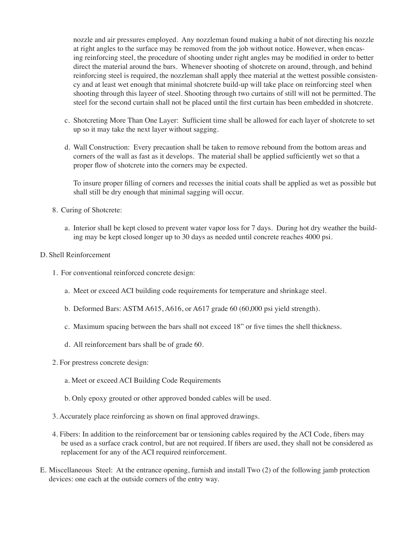nozzle and air pressures employed. Any nozzleman found making a habit of not directing his nozzle at right angles to the surface may be removed from the job without notice. However, when encasing reinforcing steel, the procedure of shooting under right angles may be modified in order to better direct the material around the bars. Whenever shooting of shotcrete on around, through, and behind reinforcing steel is required, the nozzleman shall apply thee material at the wettest possible consistency and at least wet enough that minimal shotcrete build-up will take place on reinforcing steel when shooting through this layeer of steel. Shooting through two curtains of still will not be permitted. The steel for the second curtain shall not be placed until the first curtain has been embedded in shotcrete.

- c. Shotcreting More Than One Layer: Sufficient time shall be allowed for each layer of shotcrete to set up so it may take the next layer without sagging.
- d. Wall Construction: Every precaution shall be taken to remove rebound from the bottom areas and corners of the wall as fast as it develops. The material shall be applied sufficiently wet so that a proper flow of shotcrete into the corners may be expected.

To insure proper filling of corners and recesses the initial coats shall be applied as wet as possible but shall still be dry enough that minimal sagging will occur.

- 8. Curing of Shotcrete:
	- a. Interior shall be kept closed to prevent water vapor loss for 7 days. During hot dry weather the building may be kept closed longer up to 30 days as needed until concrete reaches 4000 psi.

#### D. Shell Reinforcement

- 1. For conventional reinforced concrete design:
	- a. Meet or exceed ACI building code requirements for temperature and shrinkage steel.
	- b. Deformed Bars: ASTM A615, A616, or A617 grade 60 (60,000 psi yield strength).
	- c. Maximum spacing between the bars shall not exceed 18" or five times the shell thickness.
	- d. All reinforcement bars shall be of grade 60.
- 2. For prestress concrete design:
	- a. Meet or exceed ACI Building Code Requirements
	- b. Only epoxy grouted or other approved bonded cables will be used.
- 3. Accurately place reinforcing as shown on final approved drawings.
- 4. Fibers: In addition to the reinforcement bar or tensioning cables required by the ACI Code, fibers may be used as a surface crack control, but are not required. If fibers are used, they shall not be considered as replacement for any of the ACI required reinforcement.
- E. Miscellaneous Steel: At the entrance opening, furnish and install Two (2) of the following jamb protection devices: one each at the outside corners of the entry way.